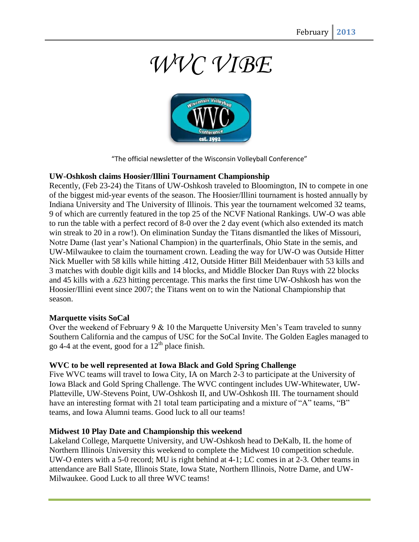# *WVC VIBE*



"The official newsletter of the Wisconsin Volleyball Conference"

#### **UW-Oshkosh claims Hoosier/Illini Tournament Championship**

Recently, (Feb 23-24) the Titans of UW-Oshkosh traveled to Bloomington, IN to compete in one of the biggest mid-year events of the season. The Hoosier/Illini tournament is hosted annually by Indiana University and The University of Illinois. This year the tournament welcomed 32 teams, 9 of which are currently featured in the top 25 of the NCVF National Rankings. UW-O was able to run the table with a perfect record of 8-0 over the 2 day event (which also extended its match win streak to 20 in a row!). On elimination Sunday the Titans dismantled the likes of Missouri, Notre Dame (last year's National Champion) in the quarterfinals, Ohio State in the semis, and UW-Milwaukee to claim the tournament crown. Leading the way for UW-O was Outside Hitter Nick Mueller with 58 kills while hitting .412, Outside Hitter Bill Meidenbauer with 53 kills and 3 matches with double digit kills and 14 blocks, and Middle Blocker Dan Ruys with 22 blocks and 45 kills with a .623 hitting percentage. This marks the first time UW-Oshkosh has won the Hoosier/Illini event since 2007; the Titans went on to win the National Championship that season.

#### **Marquette visits SoCal**

Over the weekend of February 9 & 10 the Marquette University Men's Team traveled to sunny Southern California and the campus of USC for the SoCal Invite. The Golden Eagles managed to go 4-4 at the event, good for a  $12^{th}$  place finish.

#### **WVC to be well represented at Iowa Black and Gold Spring Challenge**

Five WVC teams will travel to Iowa City, IA on March 2-3 to participate at the University of Iowa Black and Gold Spring Challenge. The WVC contingent includes UW-Whitewater, UW-Platteville, UW-Stevens Point, UW-Oshkosh II, and UW-Oshkosh III. The tournament should have an interesting format with 21 total team participating and a mixture of "A" teams, "B" teams, and Iowa Alumni teams. Good luck to all our teams!

#### **Midwest 10 Play Date and Championship this weekend**

Lakeland College, Marquette University, and UW-Oshkosh head to DeKalb, IL the home of Northern Illinois University this weekend to complete the Midwest 10 competition schedule. UW-O enters with a 5-0 record; MU is right behind at 4-1; LC comes in at 2-3. Other teams in attendance are Ball State, Illinois State, Iowa State, Northern Illinois, Notre Dame, and UW-Milwaukee. Good Luck to all three WVC teams!